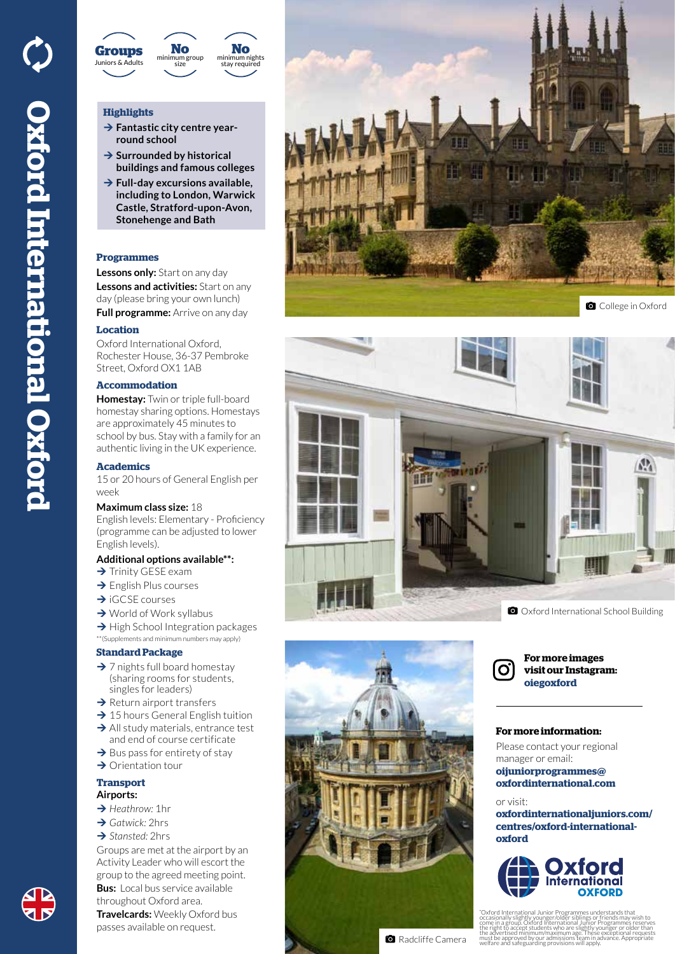

# **Highlights**

- **→ Fantastic city centre yearround school**
- **→ Surrounded by historical buildings and famous colleges**
- **→ Full-day excursions available, including to London, Warwick Castle, Stratford-upon-Avon, Stonehenge and Bath**

# **Programmes**

**Lessons only:** Start on any day **Lessons and activities:** Start on any

day (please bring your own lunch) **Full programme:** Arrive on any day

# **Location**

Oxford International Oxford, Rochester House, 36-37 Pembroke Street, Oxford OX1 1AB

#### **Accommodation**

**Homestay:** Twin or triple full-board homestay sharing options. Homestays are approximately 45 minutes to school by bus. Stay with a family for an authentic living in the UK experience.

#### **Academics**

15 or 20 hours of General English per week

#### **Maximum class size:** 18

English levels: Elementary - Proficiency (programme can be adjusted to lower English levels).

## **Additional options available\*\*:**

- $\rightarrow$  Trinity GESE exam
- $\rightarrow$  English Plus courses
- $\rightarrow$  iGCSE courses
- $\rightarrow$  World of Work syllabus
- $\rightarrow$  High School Integration packages
- \*\*(Supplements and minimum numbers may apply)

# **Standard Package**

- $\rightarrow$  7 nights full board homestay (sharing rooms for students, singles for leaders)
- $\rightarrow$  Return airport transfers
- $\rightarrow$  15 hours General English tuition
- $\rightarrow$  All study materials, entrance test and end of course certificate
- $\rightarrow$  Bus pass for entirety of stay
- $\rightarrow$  Orientation tour
- **Transport Airports:**
- **→** *Heathrow:* 1hr
- **→ Gatwick: 2hrs**
- **→ Stansted: 2hrs**
- Groups are met at the airport by an Activity Leader who will escort the group to the agreed meeting point. **Bus:** Local bus service available throughout Oxford area. **Travelcards:** Weekly Oxford bus passes available on request.









**For more images visit our Instagram: oiegoxford**

## **For more information:**

Please contact your regional manager or email: **oijuniorprogrammes@ oxfordinternational.com**

#### or visit:

**oxfordinternationaljuniors.com/ centres/oxford-internationaloxford**



\* 'Oxford International Junior Programmes understands that<br>occasionally slightly younger/older siblings or friends may wish to<br>come in a group. Oxford International Junior Programmes reserves<br>the right to accept students who